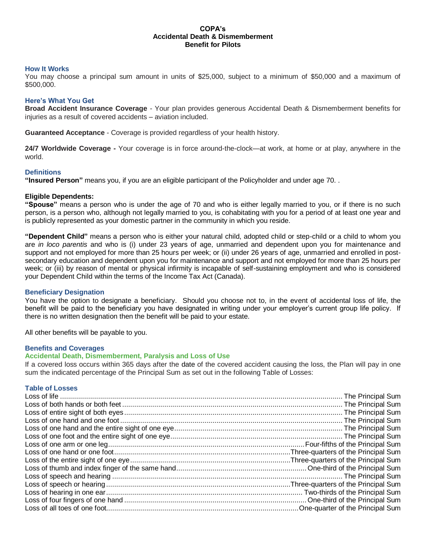#### **COPA's Accidental Death & Dismemberment Benefit for Pilots**

#### **How It Works**

You may choose a principal sum amount in units of \$25,000, subject to a minimum of \$50,000 and a maximum of \$500,000.

#### **Here's What You Get**

**Broad Accident Insurance Coverage** - Your plan provides generous Accidental Death & Dismemberment benefits for injuries as a result of covered accidents – aviation included.

**Guaranteed Acceptance** - Coverage is provided regardless of your health history.

**24/7 Worldwide Coverage -** Your coverage is in force around-the-clock—at work, at home or at play, anywhere in the world.

#### **Definitions**

**"Insured Person"** means you, if you are an eligible participant of the Policyholder and under age 70. .

#### **Eligible Dependents:**

**"Spouse"** means a person who is under the age of 70 and who is either legally married to you, or if there is no such person, is a person who, although not legally married to you, is cohabitating with you for a period of at least one year and is publicly represented as your domestic partner in the community in which you reside.

**"Dependent Child"** means a person who is either your natural child, adopted child or step-child or a child to whom you are *in loco parentis* and who is (i) under 23 years of age, unmarried and dependent upon you for maintenance and support and not employed for more than 25 hours per week; or (ii) under 26 years of age, unmarried and enrolled in postsecondary education and dependent upon you for maintenance and support and not employed for more than 25 hours per week; or (iii) by reason of mental or physical infirmity is incapable of self-sustaining employment and who is considered your Dependent Child within the terms of the Income Tax Act (Canada).

#### **Beneficiary Designation**

You have the option to designate a beneficiary. Should you choose not to, in the event of accidental loss of life, the benefit will be paid to the beneficiary you have designated in writing under your employer's current group life policy. If there is no written designation then the benefit will be paid to your estate.

All other benefits will be payable to you.

#### **Benefits and Coverages**

#### **Accidental Death, Dismemberment, Paralysis and Loss of Use**

If a covered loss occurs within 365 days after the date of the covered accident causing the loss, the Plan will pay in one sum the indicated percentage of the Principal Sum as set out in the following Table of Losses:

#### **Table of Losses**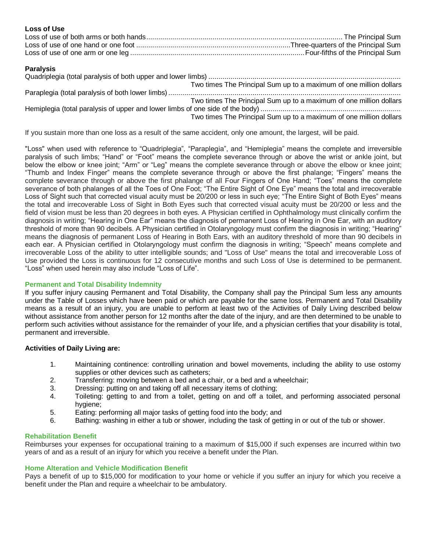| <b>Loss of Use</b> |  |
|--------------------|--|
|                    |  |
|                    |  |
|                    |  |

## **Paralysis**

|  | Two times The Principal Sum up to a maximum of one million dollars |  |
|--|--------------------------------------------------------------------|--|
|  |                                                                    |  |
|  | Two times The Principal Sum up to a maximum of one million dollars |  |
|  |                                                                    |  |
|  | Two times The Principal Sum up to a maximum of one million dollars |  |

If you sustain more than one loss as a result of the same accident, only one amount, the largest, will be paid.

"Loss" when used with reference to "Quadriplegia", "Paraplegia", and "Hemiplegia" means the complete and irreversible paralysis of such limbs; "Hand" or "Foot" means the complete severance through or above the wrist or ankle joint, but below the elbow or knee joint; "Arm" or "Leg" means the complete severance through or above the elbow or knee joint; "Thumb and Index Finger" means the complete severance through or above the first phalange; "Fingers" means the complete severance through or above the first phalange of all Four Fingers of One Hand; "Toes" means the complete severance of both phalanges of all the Toes of One Foot; "The Entire Sight of One Eye" means the total and irrecoverable Loss of Sight such that corrected visual acuity must be 20/200 or less in such eye; "The Entire Sight of Both Eyes" means the total and irrecoverable Loss of Sight in Both Eyes such that corrected visual acuity must be 20/200 or less and the field of vision must be less than 20 degrees in both eyes. A Physician certified in Ophthalmology must clinically confirm the diagnosis in writing; "Hearing in One Ear" means the diagnosis of permanent Loss of Hearing in One Ear, with an auditory threshold of more than 90 decibels. A Physician certified in Otolaryngology must confirm the diagnosis in writing; "Hearing" means the diagnosis of permanent Loss of Hearing in Both Ears, with an auditory threshold of more than 90 decibels in each ear. A Physician certified in Otolaryngology must confirm the diagnosis in writing; "Speech" means complete and irrecoverable Loss of the ability to utter intelligible sounds; and "Loss of Use" means the total and irrecoverable Loss of Use provided the Loss is continuous for 12 consecutive months and such Loss of Use is determined to be permanent. "Loss" when used herein may also include "Loss of Life".

# **Permanent and Total Disability Indemnity**

If you suffer injury causing Permanent and Total Disability, the Company shall pay the Principal Sum less any amounts under the Table of Losses which have been paid or which are payable for the same loss. Permanent and Total Disability means as a result of an injury, you are unable to perform at least two of the Activities of Daily Living described below without assistance from another person for 12 months after the date of the injury, and are then determined to be unable to perform such activities without assistance for the remainder of your life, and a physician certifies that your disability is total, permanent and irreversible.

# **Activities of Daily Living are:**

- 1. Maintaining continence: controlling urination and bowel movements, including the ability to use ostomy supplies or other devices such as catheters;
- 2. Transferring: moving between a bed and a chair, or a bed and a wheelchair;
- 3. Dressing: putting on and taking off all necessary items of clothing;
- 4. Toileting: getting to and from a toilet, getting on and off a toilet, and performing associated personal hygiene;
- 5. Eating: performing all major tasks of getting food into the body; and
- 6. Bathing: washing in either a tub or shower, including the task of getting in or out of the tub or shower.

# **Rehabilitation Benefit**

Reimburses your expenses for occupational training to a maximum of \$15,000 if such expenses are incurred within two years of and as a result of an injury for which you receive a benefit under the Plan.

# **Home Alteration and Vehicle Modification Benefit**

Pays a benefit of up to \$15,000 for modification to your home or vehicle if you suffer an injury for which you receive a benefit under the Plan and require a wheelchair to be ambulatory.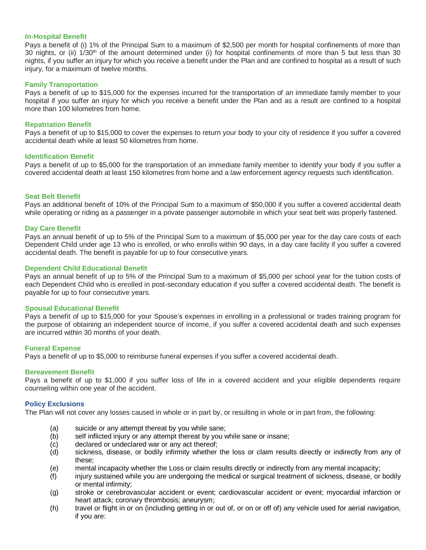#### **In-Hospital Benefit**

Pays a benefit of (i) 1% of the Principal Sum to a maximum of \$2,500 per month for hospital confinements of more than 30 nights, or (ii)  $1/30<sup>th</sup>$  of the amount determined under (i) for hospital confinements of more than 5 but less than 30 nights, if you suffer an injury for which you receive a benefit under the Plan and are confined to hospital as a result of such injury, for a maximum of twelve months.

#### **Family Transportation**

Pays a benefit of up to \$15,000 for the expenses incurred for the transportation of an immediate family member to your hospital if you suffer an injury for which you receive a benefit under the Plan and as a result are confined to a hospital more than 100 kilometres from home.

#### **Repatriation Benefit**

Pays a benefit of up to \$15,000 to cover the expenses to return your body to your city of residence if you suffer a covered accidental death while at least 50 kilometres from home.

#### **Identification Benefit**

Pays a benefit of up to \$5,000 for the transportation of an immediate family member to identify your body if you suffer a covered accidental death at least 150 kilometres from home and a law enforcement agency requests such identification.

#### **Seat Belt Benefit**

Pays an additional benefit of 10% of the Principal Sum to a maximum of \$50,000 if you suffer a covered accidental death while operating or riding as a passenger in a private passenger automobile in which your seat belt was properly fastened.

#### **Day Care Benefit**

Pays an annual benefit of up to 5% of the Principal Sum to a maximum of \$5,000 per year for the day care costs of each Dependent Child under age 13 who is enrolled, or who enrolls within 90 days, in a day care facility if you suffer a covered accidental death. The benefit is payable for up to four consecutive years.

#### **Dependent Child Educational Benefit**

Pays an annual benefit of up to 5% of the Principal Sum to a maximum of \$5,000 per school year for the tuition costs of each Dependent Child who is enrolled in post-secondary education if you suffer a covered accidental death. The benefit is payable for up to four consecutive years.

#### **Spousal Educational Benefit**

Pays a benefit of up to \$15,000 for your Spouse's expenses in enrolling in a professional or trades training program for the purpose of obtaining an independent source of income, if you suffer a covered accidental death and such expenses are incurred within 30 months of your death.

#### **Funeral Expense**

Pays a benefit of up to \$5,000 to reimburse funeral expenses if you suffer a covered accidental death.

#### **Bereavement Benefit**

Pays a benefit of up to \$1,000 if you suffer loss of life in a covered accident and your eligible dependents require counseling within one year of the accident.

#### **Policy Exclusions**

The Plan will not cover any losses caused in whole or in part by, or resulting in whole or in part from, the following:

- (a) suicide or any attempt thereat by you while sane;
- (b) self inflicted injury or any attempt thereat by you while sane or insane;
- (c) declared or undeclared war or any act thereof;
- (d) sickness, disease, or bodily infirmity whether the loss or claim results directly or indirectly from any of these;
- (e) mental incapacity whether the Loss or claim results directly or indirectly from any mental incapacity;
- (f) injury sustained while you are undergoing the medical or surgical treatment of sickness, disease, or bodily or mental infirmity;
- (g) stroke or cerebrovascular accident or event; cardiovascular accident or event; myocardial infarction or heart attack; coronary thrombosis; aneurysm;
- (h) travel or flight in or on (including getting in or out of, or on or off of) any vehicle used for aerial navigation, if you are: